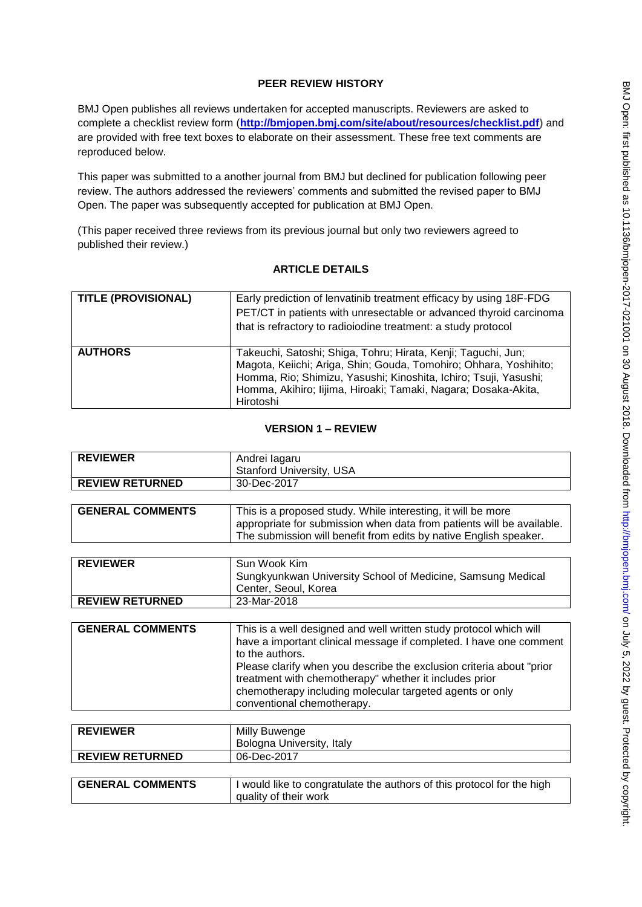# **PEER REVIEW HISTORY**

BMJ Open publishes all reviews undertaken for accepted manuscripts. Reviewers are asked to complete a checklist review form (**[http://bmjopen.bmj.com/site/about/resources/checklist.pdf\)](http://bmjopen.bmj.com/site/about/resources/checklist.pdf)** and are provided with free text boxes to elaborate on their assessment. These free text comments are reproduced below.

This paper was submitted to a another journal from BMJ but declined for publication following peer review. The authors addressed the reviewers' comments and submitted the revised paper to BMJ Open. The paper was subsequently accepted for publication at BMJ Open.

(This paper received three reviews from its previous journal but only two reviewers agreed to published their review.)

### **ARTICLE DETAILS**

| <b>TITLE (PROVISIONAL)</b> | Early prediction of lenvatinib treatment efficacy by using 18F-FDG<br>PET/CT in patients with unresectable or advanced thyroid carcinoma<br>that is refractory to radioiodine treatment: a study protocol                                                                             |
|----------------------------|---------------------------------------------------------------------------------------------------------------------------------------------------------------------------------------------------------------------------------------------------------------------------------------|
| <b>AUTHORS</b>             | Takeuchi, Satoshi; Shiga, Tohru; Hirata, Kenji; Taguchi, Jun;<br>Magota, Keiichi; Ariga, Shin; Gouda, Tomohiro; Ohhara, Yoshihito;<br>Homma, Rio; Shimizu, Yasushi; Kinoshita, Ichiro; Tsuji, Yasushi;<br>Homma, Akihiro; lijima, Hiroaki; Tamaki, Nagara; Dosaka-Akita,<br>Hirotoshi |

### **VERSION 1 – REVIEW**

| <b>REVIEWER</b>        | Andrei lagaru<br><b>Stanford University, USA</b> |
|------------------------|--------------------------------------------------|
| <b>REVIEW RETURNED</b> | 30-Dec-2017                                      |

| <b>GENERAL COMMENTS</b> | This is a proposed study. While interesting, it will be more          |
|-------------------------|-----------------------------------------------------------------------|
|                         | appropriate for submission when data from patients will be available. |
|                         | The submission will benefit from edits by native English speaker.     |

| <b>REVIEWER</b>        | Sun Wook Kim                                                |
|------------------------|-------------------------------------------------------------|
|                        | Sungkyunkwan University School of Medicine, Samsung Medical |
|                        | Center, Seoul, Korea                                        |
| <b>REVIEW RETURNED</b> | 23-Mar-2018                                                 |

| <b>GENERAL COMMENTS</b> | This is a well designed and well written study protocol which will    |
|-------------------------|-----------------------------------------------------------------------|
|                         | have a important clinical message if completed. I have one comment    |
|                         | to the authors.                                                       |
|                         | Please clarify when you describe the exclusion criteria about "prior" |
|                         | treatment with chemotherapy" whether it includes prior                |
|                         | chemotherapy including molecular targeted agents or only              |
|                         | conventional chemotherapy.                                            |

| <b>REVIEWER</b>         | Milly Buwenge                                                                                   |
|-------------------------|-------------------------------------------------------------------------------------------------|
|                         | Bologna University, Italy                                                                       |
| <b>REVIEW RETURNED</b>  | 06-Dec-2017                                                                                     |
|                         |                                                                                                 |
| <b>GENERAL COMMENTS</b> | I would like to congratulate the authors of this protocol for the high<br>quality of their work |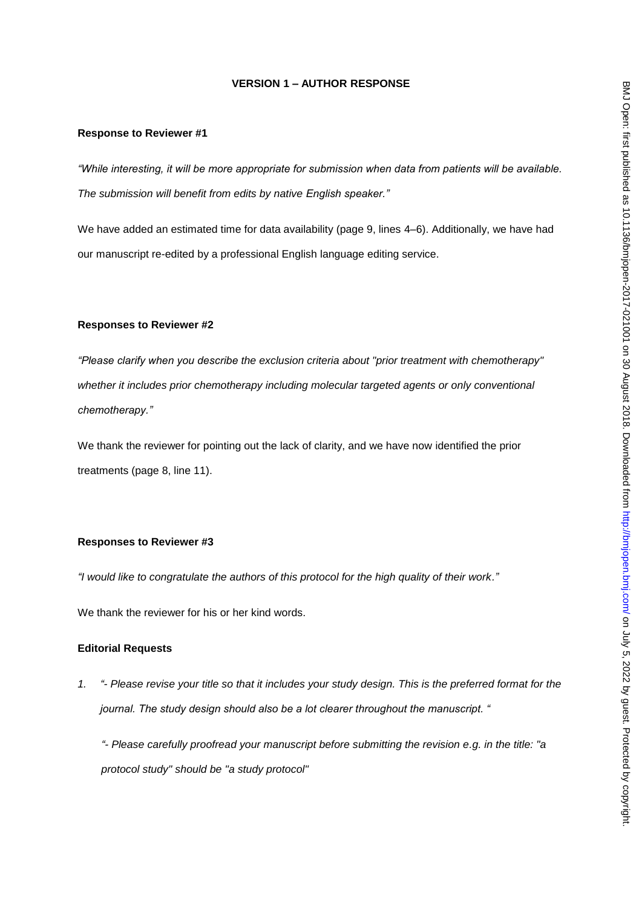# **VERSION 1 – AUTHOR RESPONSE**

#### **Response to Reviewer #1**

*"While interesting, it will be more appropriate for submission when data from patients will be available. The submission will benefit from edits by native English speaker."*

We have added an estimated time for data availability (page 9, lines 4–6). Additionally, we have had our manuscript re-edited by a professional English language editing service.

#### **Responses to Reviewer #2**

*"Please clarify when you describe the exclusion criteria about "prior treatment with chemotherapy" whether it includes prior chemotherapy including molecular targeted agents or only conventional chemotherapy."*

We thank the reviewer for pointing out the lack of clarity, and we have now identified the prior treatments (page 8, line 11).

### **Responses to Reviewer #3**

*"I would like to congratulate the authors of this protocol for the high quality of their work."*

We thank the reviewer for his or her kind words.

#### **Editorial Requests**

*1. "- Please revise your title so that it includes your study design. This is the preferred format for the journal. The study design should also be a lot clearer throughout the manuscript. "*

*"- Please carefully proofread your manuscript before submitting the revision e.g. in the title: "a protocol study" should be "a study protocol"*